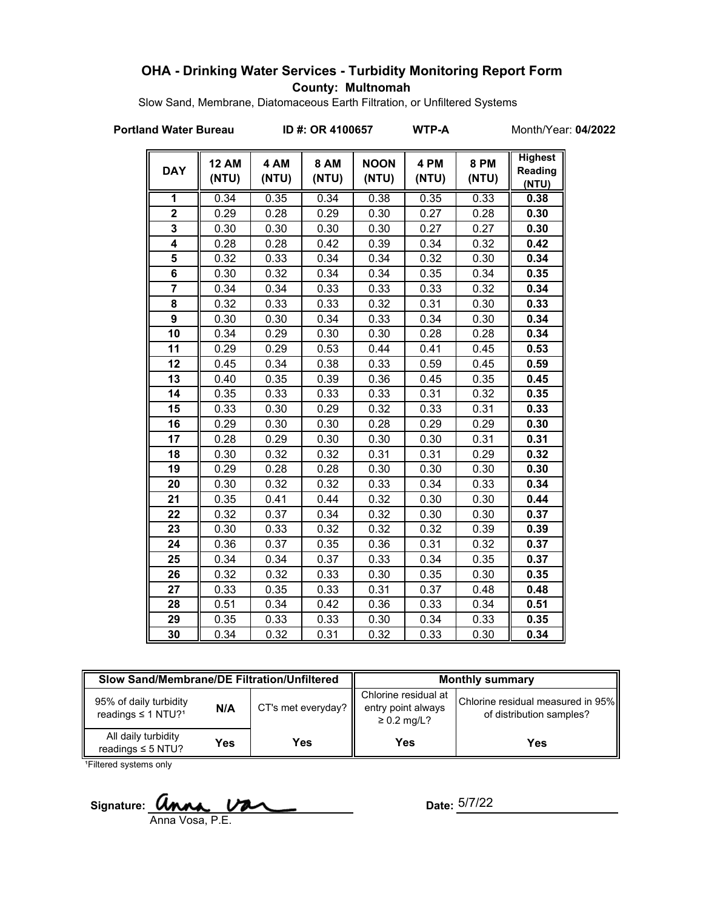## **OHA - Drinking Water Services - Turbidity Monitoring Report Form County: Multnomah**

Slow Sand, Membrane, Diatomaceous Earth Filtration, or Unfiltered Systems

**Portland Water Bureau ID #: OR 4100657 WTP-A** Month/Year: 04/2022

| <b>DAY</b>              | <b>12 AM</b><br>(NTU) | 4 AM<br>(NTU) | <b>8 AM</b><br>(NTU) | <b>NOON</b><br>(NTU) | 4 PM<br>(NTU) | <b>8 PM</b><br>(NTU) | <b>Highest</b><br>Reading<br>(NTU) |
|-------------------------|-----------------------|---------------|----------------------|----------------------|---------------|----------------------|------------------------------------|
| 1                       | 0.34                  | 0.35          | 0.34                 | 0.38                 | 0.35          | 0.33                 | 0.38                               |
| $\overline{2}$          | 0.29                  | 0.28          | 0.29                 | 0.30                 | 0.27          | 0.28                 | 0.30                               |
| 3                       | 0.30                  | 0.30          | 0.30                 | 0.30                 | 0.27          | 0.27                 | 0.30                               |
| $\overline{\mathbf{4}}$ | 0.28                  | 0.28          | 0.42                 | 0.39                 | 0.34          | 0.32                 | 0.42                               |
| 5                       | 0.32                  | 0.33          | 0.34                 | 0.34                 | 0.32          | 0.30                 | 0.34                               |
| 6                       | 0.30                  | 0.32          | 0.34                 | 0.34                 | 0.35          | 0.34                 | 0.35                               |
| $\overline{7}$          | 0.34                  | 0.34          | 0.33                 | 0.33                 | 0.33          | 0.32                 | 0.34                               |
| 8                       | 0.32                  | 0.33          | 0.33                 | 0.32                 | 0.31          | 0.30                 | 0.33                               |
| 9                       | 0.30                  | 0.30          | 0.34                 | 0.33                 | 0.34          | 0.30                 | 0.34                               |
| 10                      | 0.34                  | 0.29          | 0.30                 | 0.30                 | 0.28          | 0.28                 | 0.34                               |
| 11                      | 0.29                  | 0.29          | 0.53                 | 0.44                 | 0.41          | 0.45                 | 0.53                               |
| 12                      | 0.45                  | 0.34          | 0.38                 | 0.33                 | 0.59          | 0.45                 | 0.59                               |
| 13                      | 0.40                  | 0.35          | 0.39                 | 0.36                 | 0.45          | 0.35                 | 0.45                               |
| 14                      | 0.35                  | 0.33          | 0.33                 | 0.33                 | 0.31          | 0.32                 | 0.35                               |
| 15                      | 0.33                  | 0.30          | 0.29                 | 0.32                 | 0.33          | 0.31                 | 0.33                               |
| 16                      | 0.29                  | 0.30          | 0.30                 | 0.28                 | 0.29          | 0.29                 | 0.30                               |
| 17                      | 0.28                  | 0.29          | 0.30                 | 0.30                 | 0.30          | 0.31                 | 0.31                               |
| 18                      | 0.30                  | 0.32          | 0.32                 | 0.31                 | 0.31          | 0.29                 | 0.32                               |
| 19                      | 0.29                  | 0.28          | 0.28                 | 0.30                 | 0.30          | 0.30                 | 0.30                               |
| 20                      | 0.30                  | 0.32          | 0.32                 | 0.33                 | 0.34          | 0.33                 | 0.34                               |
| 21                      | 0.35                  | 0.41          | 0.44                 | 0.32                 | 0.30          | 0.30                 | 0.44                               |
| 22                      | 0.32                  | 0.37          | 0.34                 | 0.32                 | 0.30          | 0.30                 | 0.37                               |
| 23                      | 0.30                  | 0.33          | 0.32                 | 0.32                 | 0.32          | 0.39                 | 0.39                               |
| 24                      | 0.36                  | 0.37          | 0.35                 | 0.36                 | 0.31          | 0.32                 | 0.37                               |
| 25                      | 0.34                  | 0.34          | 0.37                 | 0.33                 | 0.34          | 0.35                 | 0.37                               |
| 26                      | 0.32                  | 0.32          | 0.33                 | 0.30                 | 0.35          | 0.30                 | 0.35                               |
| 27                      | 0.33                  | 0.35          | 0.33                 | 0.31                 | 0.37          | 0.48                 | 0.48                               |
| 28                      | 0.51                  | 0.34          | 0.42                 | 0.36                 | 0.33          | 0.34                 | 0.51                               |
| 29                      | 0.35                  | 0.33          | 0.33                 | 0.30                 | 0.34          | 0.33                 | 0.35                               |
| 30                      | 0.34                  | 0.32          | 0.31                 | 0.32                 | 0.33          | 0.30                 | 0.34                               |

| Slow Sand/Membrane/DE Filtration/Unfiltered                          |     |                    | <b>Monthly summary</b>                                         |                                                               |  |
|----------------------------------------------------------------------|-----|--------------------|----------------------------------------------------------------|---------------------------------------------------------------|--|
| 95% of daily turbidity<br>N/A<br>readings $\leq 1$ NTU? <sup>1</sup> |     | CT's met everyday? | Chlorine residual at<br>entry point always<br>$\geq$ 0.2 mg/L? | Chlorine residual measured in 95%<br>of distribution samples? |  |
| All daily turbidity<br>readings $\leq$ 5 NTU?                        | Yes | Yes                | <b>Yes</b>                                                     | Yes                                                           |  |

<sup>1</sup>Filtered systems only

Signature:  $\alpha$ Anna Vosa, P.E.

Date:  $5/7/22$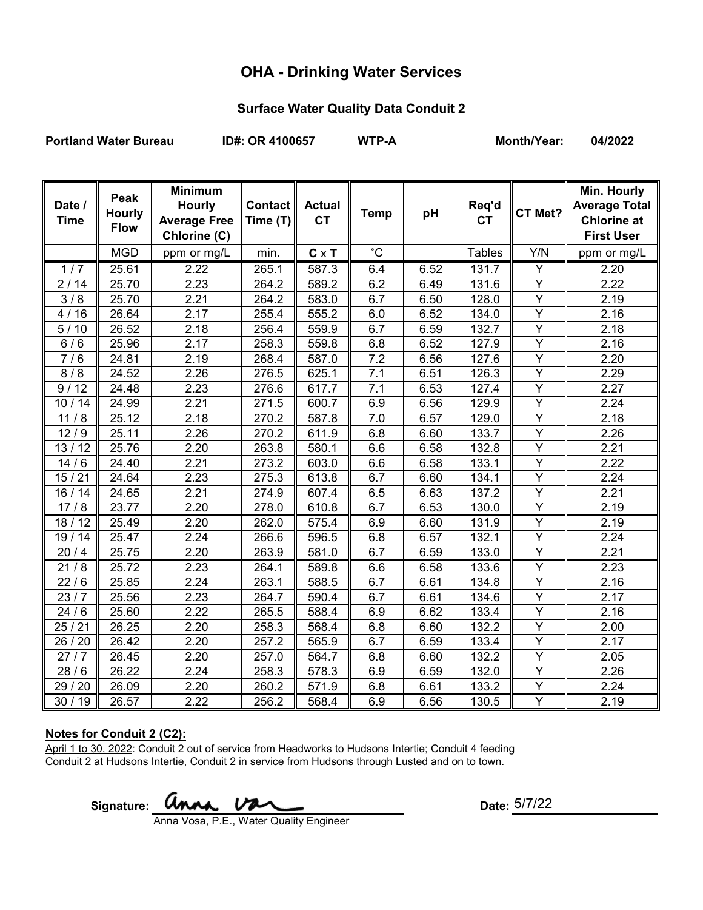## **OHA - Drinking Water Services**

### **Surface Water Quality Data Conduit 2**

Portland Water Bureau **ID#: OR 4100657** WTP-A Month/Year: 04/2022

| Date /<br><b>Time</b> | Peak<br><b>Hourly</b><br><b>Flow</b> | <b>Minimum</b><br><b>Hourly</b><br><b>Average Free</b><br>Chlorine (C) | Contact   <br>Time $(T)$ | <b>Actual</b><br><b>CT</b> | <b>Temp</b>  | pH   | Req'd<br><b>CT</b> | CT Met?                 | Min. Hourly<br><b>Average Total</b><br><b>Chlorine at</b><br><b>First User</b> |
|-----------------------|--------------------------------------|------------------------------------------------------------------------|--------------------------|----------------------------|--------------|------|--------------------|-------------------------|--------------------------------------------------------------------------------|
|                       | <b>MGD</b>                           | ppm or mg/L                                                            | min.                     | $C \times T$               | $^{\circ}$ C |      | <b>Tables</b>      | Y/N                     | ppm or mg/L                                                                    |
| 1/7                   | 25.61                                | 2.22                                                                   | 265.1                    | 587.3                      | 6.4          | 6.52 | 131.7              | Ÿ                       | 2.20                                                                           |
| 2/14                  | 25.70                                | 2.23                                                                   | 264.2                    | 589.2                      | 6.2          | 6.49 | 131.6              | $\overline{Y}$          | 2.22                                                                           |
| 3/8                   | 25.70                                | 2.21                                                                   | 264.2                    | 583.0                      | 6.7          | 6.50 | $\overline{128.0}$ | $\overline{Y}$          | 2.19                                                                           |
| 4/16                  | 26.64                                | 2.17                                                                   | 255.4                    | 555.2                      | 6.0          | 6.52 | 134.0              | Y                       | 2.16                                                                           |
| 5/10                  | 26.52                                | 2.18                                                                   | 256.4                    | 559.9                      | 6.7          | 6.59 | 132.7              | $\overline{Y}$          | 2.18                                                                           |
| 6/6                   | 25.96                                | 2.17                                                                   | 258.3                    | 559.8                      | 6.8          | 6.52 | 127.9              | $\overline{Y}$          | 2.16                                                                           |
| 7/6                   | 24.81                                | 2.19                                                                   | 268.4                    | 587.0                      | 7.2          | 6.56 | 127.6              | $\overline{Y}$          | 2.20                                                                           |
| 8/8                   | 24.52                                | 2.26                                                                   | 276.5                    | 625.1                      | 7.1          | 6.51 | 126.3              | $\overline{\mathsf{Y}}$ | 2.29                                                                           |
| 9/12                  | 24.48                                | 2.23                                                                   | 276.6                    | 617.7                      | 7.1          | 6.53 | 127.4              | Y                       | 2.27                                                                           |
| 10/14                 | 24.99                                | 2.21                                                                   | 271.5                    | 600.7                      | 6.9          | 6.56 | 129.9              | $\overline{Y}$          | 2.24                                                                           |
| 11/8                  | 25.12                                | 2.18                                                                   | 270.2                    | 587.8                      | 7.0          | 6.57 | 129.0              | Y                       | 2.18                                                                           |
| 12/9                  | 25.11                                | 2.26                                                                   | 270.2                    | 611.9                      | 6.8          | 6.60 | 133.7              | $\overline{Y}$          | 2.26                                                                           |
| 13/12                 | 25.76                                | 2.20                                                                   | 263.8                    | 580.1                      | 6.6          | 6.58 | 132.8              | Y                       | 2.21                                                                           |
| 14/6                  | 24.40                                | 2.21                                                                   | 273.2                    | 603.0                      | 6.6          | 6.58 | 133.1              | Y                       | 2.22                                                                           |
| 15/21                 | 24.64                                | 2.23                                                                   | 275.3                    | 613.8                      | 6.7          | 6.60 | 134.1              | $\overline{Y}$          | 2.24                                                                           |
| 16 / 14               | 24.65                                | 2.21                                                                   | 274.9                    | 607.4                      | 6.5          | 6.63 | 137.2              | Y                       | 2.21                                                                           |
| 17/8                  | 23.77                                | 2.20                                                                   | 278.0                    | 610.8                      | 6.7          | 6.53 | 130.0              | $\overline{Y}$          | 2.19                                                                           |
| 18/12                 | 25.49                                | 2.20                                                                   | 262.0                    | 575.4                      | 6.9          | 6.60 | 131.9              | Y                       | 2.19                                                                           |
| 19/14                 | 25.47                                | 2.24                                                                   | 266.6                    | 596.5                      | 6.8          | 6.57 | 132.1              | $\overline{Y}$          | 2.24                                                                           |
| 20/4                  | 25.75                                | 2.20                                                                   | 263.9                    | 581.0                      | 6.7          | 6.59 | 133.0              | $\overline{Y}$          | 2.21                                                                           |
| 21/8                  | 25.72                                | 2.23                                                                   | 264.1                    | 589.8                      | 6.6          | 6.58 | 133.6              | $\overline{Y}$          | 2.23                                                                           |
| 22/6                  | 25.85                                | 2.24                                                                   | 263.1                    | 588.5                      | 6.7          | 6.61 | 134.8              | $\overline{Y}$          | 2.16                                                                           |
| 23/7                  | 25.56                                | 2.23                                                                   | 264.7                    | 590.4                      | 6.7          | 6.61 | 134.6              | Y                       | 2.17                                                                           |
| 24/6                  | 25.60                                | 2.22                                                                   | 265.5                    | 588.4                      | 6.9          | 6.62 | 133.4              | $\overline{Y}$          | 2.16                                                                           |
| 25/21                 | 26.25                                | 2.20                                                                   | 258.3                    | 568.4                      | 6.8          | 6.60 | 132.2              | $\overline{Y}$          | 2.00                                                                           |
| 26 / 20               | 26.42                                | 2.20                                                                   | 257.2                    | 565.9                      | 6.7          | 6.59 | 133.4              | $\overline{Y}$          | 2.17                                                                           |
| 27/7                  | 26.45                                | 2.20                                                                   | 257.0                    | 564.7                      | 6.8          | 6.60 | 132.2              | Y                       | 2.05                                                                           |
| 28/6                  | 26.22                                | 2.24                                                                   | 258.3                    | 578.3                      | 6.9          | 6.59 | 132.0              | Υ                       | 2.26                                                                           |
| 29 / 20               | 26.09                                | 2.20                                                                   | 260.2                    | 571.9                      | 6.8          | 6.61 | 133.2              | Y                       | 2.24                                                                           |
| 30/19                 | 26.57                                | 2.22                                                                   | 256.2                    | 568.4                      | 6.9          | 6.56 | 130.5              | Ÿ                       | $\overline{2}.19$                                                              |

### **Notes for Conduit 2 (C2):**

April 1 to 30, 2022: Conduit 2 out of service from Headworks to Hudsons Intertie; Conduit 4 feeding Conduit 2 at Hudsons Intertie, Conduit 2 in service from Hudsons through Lusted and on to town.

Signature: **UNNA, VAL** 

Date:  $5/7/22$ 

Anna Vosa, P.E., Water Quality Engineer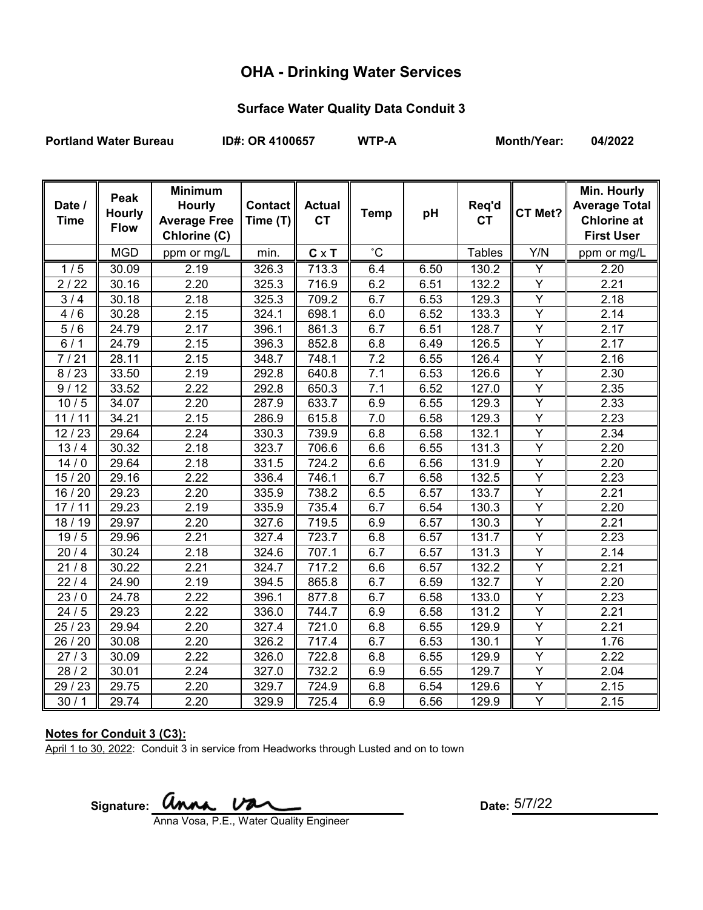# **OHA - Drinking Water Services**

### **Surface Water Quality Data Conduit 3**

Portland Water Bureau **ID#: OR 4100657** WTP-A Month/Year: 04/2022

| Date /<br><b>Time</b> | Peak<br><b>Hourly</b><br><b>Flow</b> | <b>Minimum</b><br><b>Hourly</b><br><b>Average Free</b><br>Chlorine (C) | Contact   <br>Time (T) | <b>Actual</b><br><b>CT</b> | <b>Temp</b>  | pH   | Req'd<br><b>CT</b> | CT Met?        | Min. Hourly<br><b>Average Total</b><br><b>Chlorine at</b><br><b>First User</b> |
|-----------------------|--------------------------------------|------------------------------------------------------------------------|------------------------|----------------------------|--------------|------|--------------------|----------------|--------------------------------------------------------------------------------|
|                       | <b>MGD</b>                           | ppm or mg/L                                                            | min.                   | $C \times T$               | $^{\circ}$ C |      | <b>Tables</b>      | Y/N            | ppm or mg/L                                                                    |
| 1/5                   | 30.09                                | 2.19                                                                   | 326.3                  | 713.3                      | 6.4          | 6.50 | 130.2              | Y              | 2.20                                                                           |
| 2/22                  | 30.16                                | 2.20                                                                   | 325.3                  | 716.9                      | 6.2          | 6.51 | 132.2              | Y              | 2.21                                                                           |
| 3/4                   | 30.18                                | 2.18                                                                   | 325.3                  | 709.2                      | 6.7          | 6.53 | 129.3              | Y              | 2.18                                                                           |
| 4/6                   | 30.28                                | 2.15                                                                   | 324.1                  | 698.1                      | 6.0          | 6.52 | 133.3              | $\overline{Y}$ | 2.14                                                                           |
| 5/6                   | 24.79                                | 2.17                                                                   | 396.1                  | 861.3                      | 6.7          | 6.51 | 128.7              | $\overline{Y}$ | 2.17                                                                           |
| 6/1                   | 24.79                                | 2.15                                                                   | 396.3                  | 852.8                      | 6.8          | 6.49 | 126.5              | $\overline{Y}$ | 2.17                                                                           |
| 7/21                  | 28.11                                | 2.15                                                                   | 348.7                  | 748.1                      | 7.2          | 6.55 | 126.4              | Ÿ              | 2.16                                                                           |
| 8/23                  | 33.50                                | 2.19                                                                   | 292.8                  | 640.8                      | 7.1          | 6.53 | 126.6              | $\overline{Y}$ | 2.30                                                                           |
| 9/12                  | 33.52                                | 2.22                                                                   | 292.8                  | 650.3                      | 7.1          | 6.52 | 127.0              | Υ              | 2.35                                                                           |
| 10/5                  | 34.07                                | 2.20                                                                   | 287.9                  | 633.7                      | 6.9          | 6.55 | 129.3              | Y              | 2.33                                                                           |
| 11/11                 | 34.21                                | 2.15                                                                   | 286.9                  | 615.8                      | 7.0          | 6.58 | 129.3              | Y              | 2.23                                                                           |
| 12/23                 | 29.64                                | 2.24                                                                   | 330.3                  | 739.9                      | 6.8          | 6.58 | 132.1              | $\overline{Y}$ | 2.34                                                                           |
| 13/4                  | 30.32                                | 2.18                                                                   | 323.7                  | 706.6                      | 6.6          | 6.55 | 131.3              | $\overline{Y}$ | 2.20                                                                           |
| 14/0                  | 29.64                                | 2.18                                                                   | 331.5                  | 724.2                      | 6.6          | 6.56 | 131.9              | Y              | 2.20                                                                           |
| 15/20                 | 29.16                                | 2.22                                                                   | 336.4                  | 746.1                      | 6.7          | 6.58 | 132.5              | Y              | 2.23                                                                           |
| 16 / 20               | 29.23                                | 2.20                                                                   | 335.9                  | 738.2                      | 6.5          | 6.57 | 133.7              | $\overline{Y}$ | 2.21                                                                           |
| 17/11                 | 29.23                                | 2.19                                                                   | 335.9                  | 735.4                      | 6.7          | 6.54 | 130.3              | $\overline{Y}$ | 2.20                                                                           |
| 18 / 19               | 29.97                                | 2.20                                                                   | 327.6                  | 719.5                      | 6.9          | 6.57 | 130.3              | Y              | 2.21                                                                           |
| 19/5                  | 29.96                                | 2.21                                                                   | 327.4                  | 723.7                      | 6.8          | 6.57 | 131.7              | Y              | 2.23                                                                           |
| 20/4                  | 30.24                                | 2.18                                                                   | 324.6                  | 707.1                      | 6.7          | 6.57 | 131.3              | Y              | 2.14                                                                           |
| 21/8                  | 30.22                                | 2.21                                                                   | 324.7                  | 717.2                      | 6.6          | 6.57 | 132.2              | $\overline{Y}$ | 2.21                                                                           |
| 22/4                  | 24.90                                | 2.19                                                                   | 394.5                  | 865.8                      | 6.7          | 6.59 | 132.7              | $\overline{Y}$ | 2.20                                                                           |
| 23/0                  | 24.78                                | 2.22                                                                   | 396.1                  | 877.8                      | 6.7          | 6.58 | 133.0              | Y              | 2.23                                                                           |
| 24/5                  | 29.23                                | 2.22                                                                   | 336.0                  | 744.7                      | 6.9          | 6.58 | 131.2              | $\overline{Y}$ | 2.21                                                                           |
| 25/23                 | 29.94                                | 2.20                                                                   | 327.4                  | 721.0                      | 6.8          | 6.55 | 129.9              | Y              | 2.21                                                                           |
| 26 / 20               | 30.08                                | 2.20                                                                   | 326.2                  | 717.4                      | 6.7          | 6.53 | 130.1              | $\overline{Y}$ | 1.76                                                                           |
| 27/3                  | 30.09                                | 2.22                                                                   | 326.0                  | 722.8                      | 6.8          | 6.55 | 129.9              | Y              | 2.22                                                                           |
| 28/2                  | 30.01                                | 2.24                                                                   | 327.0                  | 732.2                      | 6.9          | 6.55 | 129.7              | Y              | 2.04                                                                           |
| 29 / 23               | 29.75                                | 2.20                                                                   | 329.7                  | 724.9                      | 6.8          | 6.54 | 129.6              | Y              | 2.15                                                                           |
| 30/1                  | 29.74                                | 2.20                                                                   | 329.9                  | 725.4                      | 6.9          | 6.56 | 129.9              | Y              | 2.15                                                                           |

### **Notes for Conduit 3 (C3):**

April 1 to 30, 2022: Conduit 3 in service from Headworks through Lusted and on to town

Signature: **UNAA Date:** Date:

Anna Vosa, P.E., Water Quality Engineer

Date:  $5/7/22$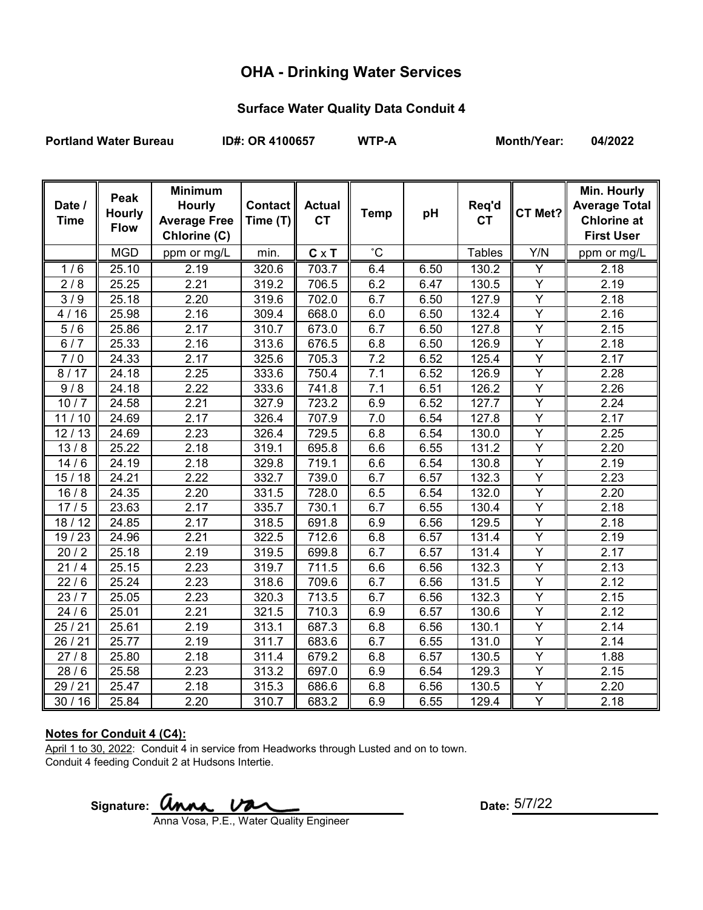# **OHA - Drinking Water Services**

### **Surface Water Quality Data Conduit 4**

Portland Water Bureau **ID#: OR 4100657** WTP-A Month/Year: 04/2022

| Date /<br><b>Time</b> | Peak<br><b>Hourly</b><br><b>Flow</b> | <b>Minimum</b><br><b>Hourly</b><br><b>Average Free</b><br>Chlorine (C) | Contact   <br>Time (T) | <b>Actual</b><br><b>CT</b> | <b>Temp</b>  | pH   | Req'd<br><b>CT</b> | CT Met?        | Min. Hourly<br><b>Average Total</b><br><b>Chlorine at</b><br><b>First User</b> |
|-----------------------|--------------------------------------|------------------------------------------------------------------------|------------------------|----------------------------|--------------|------|--------------------|----------------|--------------------------------------------------------------------------------|
|                       | <b>MGD</b>                           | ppm or mg/L                                                            | min.                   | $C \times T$               | $^{\circ}$ C |      | <b>Tables</b>      | Y/N            | ppm or mg/L                                                                    |
| 1/6                   | 25.10                                | 2.19                                                                   | 320.6                  | 703.7                      | 6.4          | 6.50 | 130.2              | Y              | 2.18                                                                           |
| 2/8                   | 25.25                                | 2.21                                                                   | 319.2                  | 706.5                      | 6.2          | 6.47 | 130.5              | Y              | 2.19                                                                           |
| 3/9                   | 25.18                                | 2.20                                                                   | 319.6                  | 702.0                      | 6.7          | 6.50 | 127.9              | Y              | 2.18                                                                           |
| 4/16                  | 25.98                                | 2.16                                                                   | 309.4                  | 668.0                      | 6.0          | 6.50 | 132.4              | $\overline{Y}$ | 2.16                                                                           |
| 5/6                   | 25.86                                | 2.17                                                                   | 310.7                  | 673.0                      | 6.7          | 6.50 | 127.8              | $\overline{Y}$ | 2.15                                                                           |
| 6/7                   | 25.33                                | 2.16                                                                   | 313.6                  | 676.5                      | 6.8          | 6.50 | 126.9              | $\overline{Y}$ | 2.18                                                                           |
| 7/0                   | 24.33                                | 2.17                                                                   | 325.6                  | 705.3                      | 7.2          | 6.52 | 125.4              | $\overline{Y}$ | 2.17                                                                           |
| 8/17                  | 24.18                                | 2.25                                                                   | 333.6                  | 750.4                      | 7.1          | 6.52 | 126.9              | $\overline{Y}$ | 2.28                                                                           |
| 9/8                   | 24.18                                | 2.22                                                                   | 333.6                  | 741.8                      | 7.1          | 6.51 | 126.2              | Y              | 2.26                                                                           |
| 10/7                  | 24.58                                | 2.21                                                                   | 327.9                  | 723.2                      | 6.9          | 6.52 | 127.7              | Y              | 2.24                                                                           |
| 11/10                 | 24.69                                | 2.17                                                                   | 326.4                  | 707.9                      | 7.0          | 6.54 | 127.8              | Y              | 2.17                                                                           |
| 12/13                 | 24.69                                | 2.23                                                                   | 326.4                  | 729.5                      | 6.8          | 6.54 | 130.0              | $\overline{Y}$ | 2.25                                                                           |
| 13/8                  | 25.22                                | 2.18                                                                   | 319.1                  | 695.8                      | 6.6          | 6.55 | 131.2              | $\overline{Y}$ | 2.20                                                                           |
| 14/6                  | 24.19                                | 2.18                                                                   | 329.8                  | 719.1                      | 6.6          | 6.54 | 130.8              | Y              | 2.19                                                                           |
| 15/18                 | 24.21                                | 2.22                                                                   | 332.7                  | 739.0                      | 6.7          | 6.57 | 132.3              | $\overline{Y}$ | 2.23                                                                           |
| 16/8                  | 24.35                                | 2.20                                                                   | 331.5                  | 728.0                      | 6.5          | 6.54 | 132.0              | $\overline{Y}$ | 2.20                                                                           |
| 17/5                  | 23.63                                | 2.17                                                                   | 335.7                  | 730.1                      | 6.7          | 6.55 | 130.4              | $\overline{Y}$ | 2.18                                                                           |
| 18/12                 | 24.85                                | 2.17                                                                   | 318.5                  | 691.8                      | 6.9          | 6.56 | 129.5              | Y              | 2.18                                                                           |
| 19 / 23               | 24.96                                | 2.21                                                                   | 322.5                  | 712.6                      | 6.8          | 6.57 | 131.4              | Y              | 2.19                                                                           |
| 20/2                  | 25.18                                | 2.19                                                                   | 319.5                  | 699.8                      | 6.7          | 6.57 | 131.4              | Y              | 2.17                                                                           |
| 21/4                  | 25.15                                | 2.23                                                                   | 319.7                  | $\overline{711.5}$         | 6.6          | 6.56 | 132.3              | $\overline{Y}$ | $\overline{2}.13$                                                              |
| 22/6                  | 25.24                                | 2.23                                                                   | 318.6                  | 709.6                      | 6.7          | 6.56 | 131.5              | $\overline{Y}$ | 2.12                                                                           |
| 23/7                  | 25.05                                | 2.23                                                                   | 320.3                  | 713.5                      | 6.7          | 6.56 | 132.3              | $\overline{Y}$ | 2.15                                                                           |
| 24/6                  | 25.01                                | 2.21                                                                   | 321.5                  | 710.3                      | 6.9          | 6.57 | 130.6              | $\overline{Y}$ | 2.12                                                                           |
| 25/21                 | 25.61                                | 2.19                                                                   | 313.1                  | 687.3                      | 6.8          | 6.56 | 130.1              | Y              | 2.14                                                                           |
| 26/21                 | 25.77                                | 2.19                                                                   | 311.7                  | 683.6                      | 6.7          | 6.55 | 131.0              | $\overline{Y}$ | 2.14                                                                           |
| 27/8                  | 25.80                                | 2.18                                                                   | 311.4                  | 679.2                      | 6.8          | 6.57 | 130.5              | Y              | 1.88                                                                           |
| 28/6                  | 25.58                                | 2.23                                                                   | 313.2                  | 697.0                      | 6.9          | 6.54 | 129.3              | Y              | 2.15                                                                           |
| 29 / 21               | 25.47                                | 2.18                                                                   | 315.3                  | 686.6                      | 6.8          | 6.56 | 130.5              | Y              | 2.20                                                                           |
| 30/16                 | 25.84                                | 2.20                                                                   | 310.7                  | 683.2                      | 6.9          | 6.55 | 129.4              | Y              | 2.18                                                                           |

### **Notes for Conduit 4 (C4):**

April 1 to 30, 2022: Conduit 4 in service from Headworks through Lusted and on to town. Conduit 4 feeding Conduit 2 at Hudsons Intertie.

Signature:  $\boldsymbol{Q}$ 

Date:  $5/7/22$ 

Anna Vosa, P.E., Water Quality Engineer